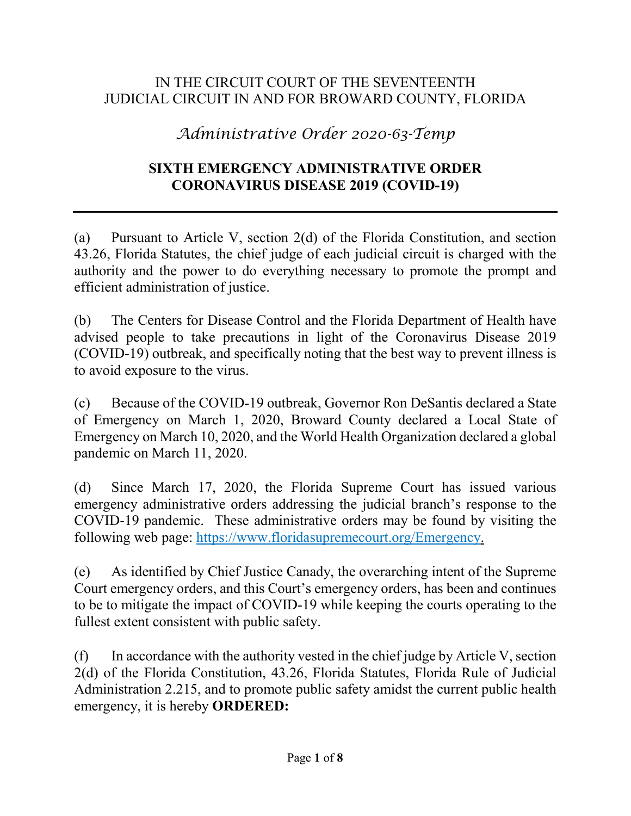#### IN THE CIRCUIT COURT OF THE SEVENTEENTH JUDICIAL CIRCUIT IN AND FOR BROWARD COUNTY, FLORIDA

# *Administrative Order 2020-63-Temp*

#### **SIXTH EMERGENCY ADMINISTRATIVE ORDER CORONAVIRUS DISEASE 2019 (COVID-19)**

(a) Pursuant to Article V, section 2(d) of the Florida Constitution, and section 43.26, Florida Statutes, the chief judge of each judicial circuit is charged with the authority and the power to do everything necessary to promote the prompt and efficient administration of justice.

(b) The Centers for Disease Control and the Florida Department of Health have advised people to take precautions in light of the Coronavirus Disease 2019 (COVID-19) outbreak, and specifically noting that the best way to prevent illness is to avoid exposure to the virus.

(c) Because of the COVID-19 outbreak, Governor Ron DeSantis declared a State of Emergency on March 1, 2020, Broward County declared a Local State of Emergency on March 10, 2020, and the World Health Organization declared a global pandemic on March 11, 2020.

(d) Since March 17, 2020, the Florida Supreme Court has issued various emergency administrative orders addressing the judicial branch's response to the COVID-19 pandemic. These administrative orders may be found by visiting the following web page: [https://www.floridasupremecourt.org/Emergency.](https://www.floridasupremecourt.org/Emergency)

(e) As identified by Chief Justice Canady, the overarching intent of the Supreme Court emergency orders, and this Court's emergency orders, has been and continues to be to mitigate the impact of COVID-19 while keeping the courts operating to the fullest extent consistent with public safety.

 $(f)$  In accordance with the authority vested in the chief judge by Article V, section 2(d) of the Florida Constitution, 43.26, Florida Statutes, Florida Rule of Judicial Administration 2.215, and to promote public safety amidst the current public health emergency, it is hereby **ORDERED:**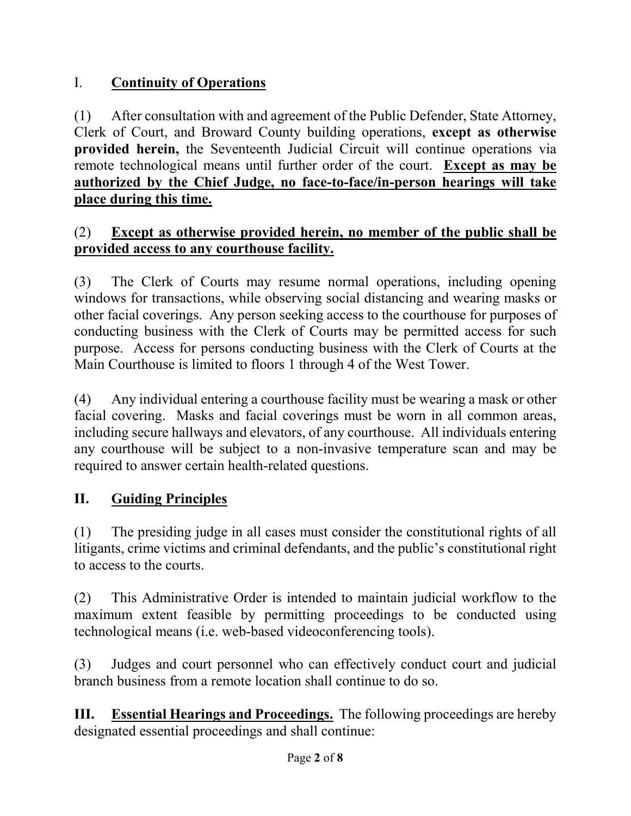# I. **Continuity of Operations**

(1) After consultation with and agreement of the Public Defender, State Attorney, Clerk of Court, and Broward County building operations, **except as otherwise provided herein,** the Seventeenth Judicial Circuit will continue operations via remote technological means until further order of the court. **Except as may be authorized by the Chief Judge, no face-to-face/in-person hearings will take place during this time.**

## (2) **Except as otherwise provided herein, no member of the public shall be provided access to any courthouse facility.**

(3) The Clerk of Courts may resume normal operations, including opening windows for transactions, while observing social distancing and wearing masks or other facial coverings. Any person seeking access to the courthouse for purposes of conducting business with the Clerk of Courts may be permitted access for such purpose. Access for persons conducting business with the Clerk of Courts at the Main Courthouse is limited to floors 1 through 4 of the West Tower.

(4) Any individual entering a courthouse facility must be wearing a mask or other facial covering. Masks and facial coverings must be worn in all common areas, including secure hallways and elevators, of any courthouse. All individuals entering any courthouse will be subject to a non-invasive temperature scan and may be required to answer certain health-related questions.

# **II. Guiding Principles**

(1) The presiding judge in all cases must consider the constitutional rights of all litigants, crime victims and criminal defendants, and the public's constitutional right to access to the courts.

(2) This Administrative Order is intended to maintain judicial workflow to the maximum extent feasible by permitting proceedings to be conducted using technological means (i.e. web-based videoconferencing tools).

(3) Judges and court personnel who can effectively conduct court and judicial branch business from a remote location shall continue to do so.

**III. Essential Hearings and Proceedings.** The following proceedings are hereby designated essential proceedings and shall continue: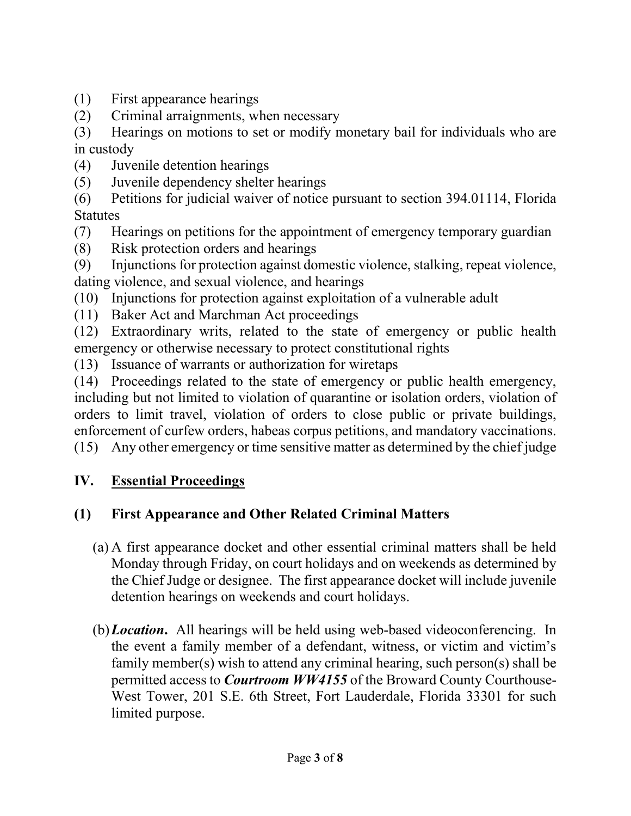- (1) First appearance hearings
- (2) Criminal arraignments, when necessary
- (3) Hearings on motions to set or modify monetary bail for individuals who are in custody
- (4) Juvenile detention hearings
- (5) Juvenile dependency shelter hearings
- (6) Petitions for judicial waiver of notice pursuant to section 394.01114, Florida Statutes
- (7) Hearings on petitions for the appointment of emergency temporary guardian
- (8) Risk protection orders and hearings
- (9) Injunctions for protection against domestic violence, stalking, repeat violence, dating violence, and sexual violence, and hearings
- (10) Injunctions for protection against exploitation of a vulnerable adult
- (11) Baker Act and Marchman Act proceedings

(12) Extraordinary writs, related to the state of emergency or public health emergency or otherwise necessary to protect constitutional rights

(13) Issuance of warrants or authorization for wiretaps

(14) Proceedings related to the state of emergency or public health emergency, including but not limited to violation of quarantine or isolation orders, violation of orders to limit travel, violation of orders to close public or private buildings, enforcement of curfew orders, habeas corpus petitions, and mandatory vaccinations. (15) Any other emergency or time sensitive matter as determined by the chief judge

## **IV. Essential Proceedings**

## **(1) First Appearance and Other Related Criminal Matters**

- (a) A first appearance docket and other essential criminal matters shall be held Monday through Friday, on court holidays and on weekends as determined by the Chief Judge or designee. The first appearance docket will include juvenile detention hearings on weekends and court holidays.
- (b)*Location***.** All hearings will be held using web-based videoconferencing. In the event a family member of a defendant, witness, or victim and victim's family member(s) wish to attend any criminal hearing, such person(s) shall be permitted access to *Courtroom WW4155* of the Broward County Courthouse-West Tower, 201 S.E. 6th Street, Fort Lauderdale, Florida 33301 for such limited purpose.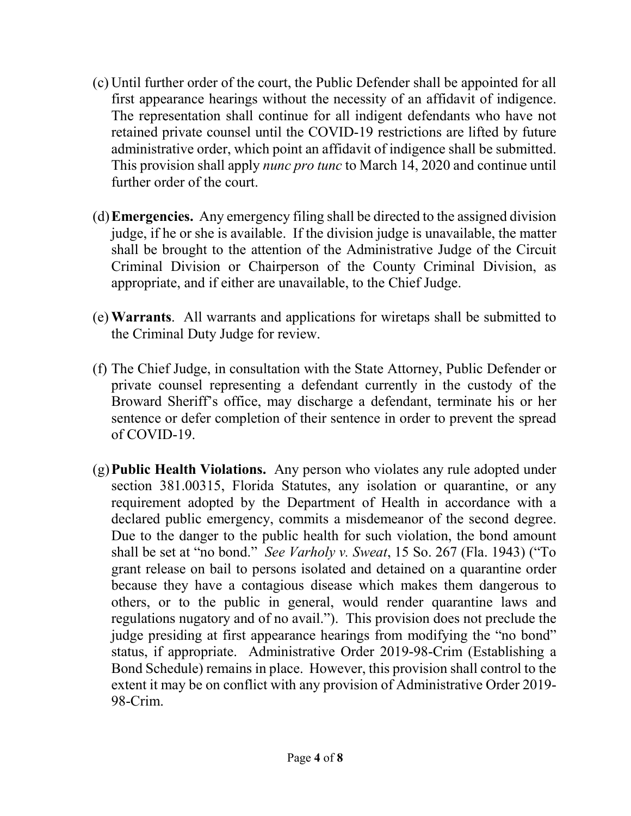- (c) Until further order of the court, the Public Defender shall be appointed for all first appearance hearings without the necessity of an affidavit of indigence. The representation shall continue for all indigent defendants who have not retained private counsel until the COVID-19 restrictions are lifted by future administrative order, which point an affidavit of indigence shall be submitted. This provision shall apply *nunc pro tunc* to March 14, 2020 and continue until further order of the court.
- (d)**Emergencies.** Any emergency filing shall be directed to the assigned division judge, if he or she is available. If the division judge is unavailable, the matter shall be brought to the attention of the Administrative Judge of the Circuit Criminal Division or Chairperson of the County Criminal Division, as appropriate, and if either are unavailable, to the Chief Judge.
- (e) **Warrants**. All warrants and applications for wiretaps shall be submitted to the Criminal Duty Judge for review.
- (f) The Chief Judge, in consultation with the State Attorney, Public Defender or private counsel representing a defendant currently in the custody of the Broward Sheriff's office, may discharge a defendant, terminate his or her sentence or defer completion of their sentence in order to prevent the spread of COVID-19.
- (g)**Public Health Violations.** Any person who violates any rule adopted under section 381.00315, Florida Statutes, any isolation or quarantine, or any requirement adopted by the Department of Health in accordance with a declared public emergency, commits a misdemeanor of the second degree. Due to the danger to the public health for such violation, the bond amount shall be set at "no bond." *See Varholy v. Sweat*, 15 So. 267 (Fla. 1943) ("To grant release on bail to persons isolated and detained on a quarantine order because they have a contagious disease which makes them dangerous to others, or to the public in general, would render quarantine laws and regulations nugatory and of no avail."). This provision does not preclude the judge presiding at first appearance hearings from modifying the "no bond" status, if appropriate. Administrative Order 2019-98-Crim (Establishing a Bond Schedule) remains in place. However, this provision shall control to the extent it may be on conflict with any provision of Administrative Order 2019- 98-Crim.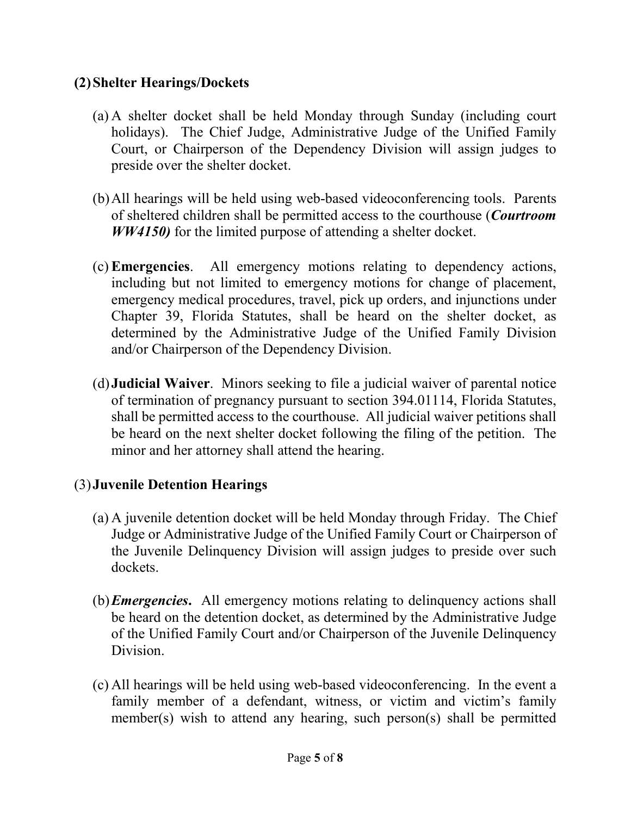#### **(2)Shelter Hearings/Dockets**

- (a) A shelter docket shall be held Monday through Sunday (including court holidays). The Chief Judge, Administrative Judge of the Unified Family Court, or Chairperson of the Dependency Division will assign judges to preside over the shelter docket.
- (b)All hearings will be held using web-based videoconferencing tools. Parents of sheltered children shall be permitted access to the courthouse (*Courtroom WW4150)* for the limited purpose of attending a shelter docket.
- (c) **Emergencies**. All emergency motions relating to dependency actions, including but not limited to emergency motions for change of placement, emergency medical procedures, travel, pick up orders, and injunctions under Chapter 39, Florida Statutes, shall be heard on the shelter docket, as determined by the Administrative Judge of the Unified Family Division and/or Chairperson of the Dependency Division.
- (d)**Judicial Waiver**. Minors seeking to file a judicial waiver of parental notice of termination of pregnancy pursuant to section 394.01114, Florida Statutes, shall be permitted access to the courthouse. All judicial waiver petitions shall be heard on the next shelter docket following the filing of the petition. The minor and her attorney shall attend the hearing.

#### (3)**Juvenile Detention Hearings**

- (a) A juvenile detention docket will be held Monday through Friday. The Chief Judge or Administrative Judge of the Unified Family Court or Chairperson of the Juvenile Delinquency Division will assign judges to preside over such dockets.
- (b)*Emergencies***.** All emergency motions relating to delinquency actions shall be heard on the detention docket, as determined by the Administrative Judge of the Unified Family Court and/or Chairperson of the Juvenile Delinquency Division.
- (c) All hearings will be held using web-based videoconferencing. In the event a family member of a defendant, witness, or victim and victim's family member(s) wish to attend any hearing, such person(s) shall be permitted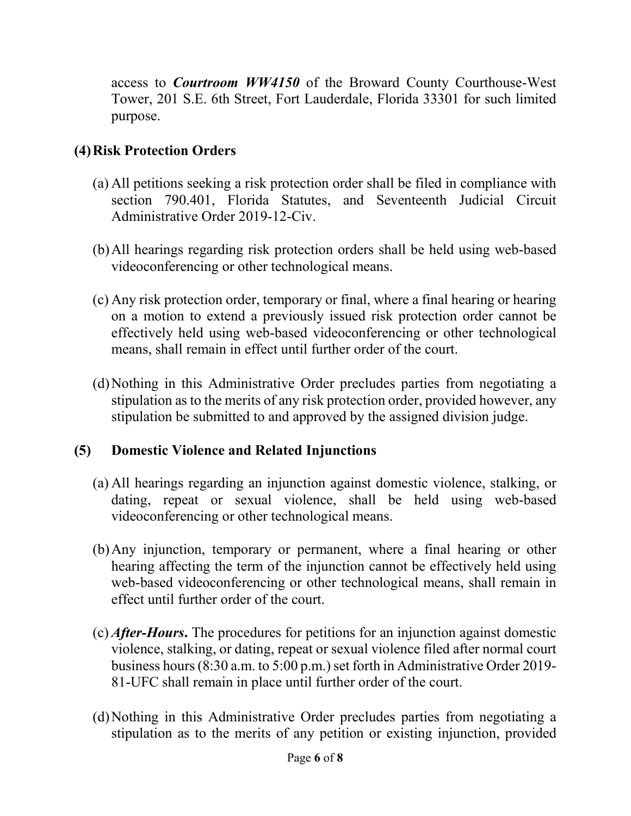access to *Courtroom WW4150* of the Broward County Courthouse-West Tower, 201 S.E. 6th Street, Fort Lauderdale, Florida 33301 for such limited purpose.

### **(4)Risk Protection Orders**

- (a) All petitions seeking a risk protection order shall be filed in compliance with section 790.401, Florida Statutes, and Seventeenth Judicial Circuit Administrative Order 2019-12-Civ.
- (b)All hearings regarding risk protection orders shall be held using web-based videoconferencing or other technological means.
- (c) Any risk protection order, temporary or final, where a final hearing or hearing on a motion to extend a previously issued risk protection order cannot be effectively held using web-based videoconferencing or other technological means, shall remain in effect until further order of the court.
- (d)Nothing in this Administrative Order precludes parties from negotiating a stipulation as to the merits of any risk protection order, provided however, any stipulation be submitted to and approved by the assigned division judge.

#### **(5) Domestic Violence and Related Injunctions**

- (a) All hearings regarding an injunction against domestic violence, stalking, or dating, repeat or sexual violence, shall be held using web-based videoconferencing or other technological means.
- (b)Any injunction, temporary or permanent, where a final hearing or other hearing affecting the term of the injunction cannot be effectively held using web-based videoconferencing or other technological means, shall remain in effect until further order of the court.
- (c) *After-Hours***.** The procedures for petitions for an injunction against domestic violence, stalking, or dating, repeat or sexual violence filed after normal court business hours (8:30 a.m. to 5:00 p.m.) set forth in Administrative Order 2019- 81-UFC shall remain in place until further order of the court.
- (d)Nothing in this Administrative Order precludes parties from negotiating a stipulation as to the merits of any petition or existing injunction, provided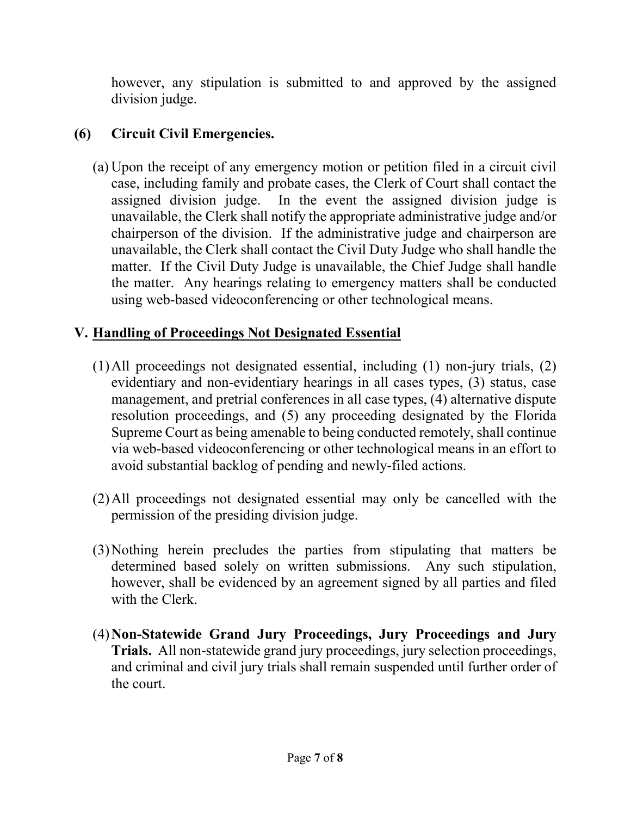however, any stipulation is submitted to and approved by the assigned division judge.

### **(6) Circuit Civil Emergencies.**

(a) Upon the receipt of any emergency motion or petition filed in a circuit civil case, including family and probate cases, the Clerk of Court shall contact the assigned division judge. In the event the assigned division judge is unavailable, the Clerk shall notify the appropriate administrative judge and/or chairperson of the division. If the administrative judge and chairperson are unavailable, the Clerk shall contact the Civil Duty Judge who shall handle the matter. If the Civil Duty Judge is unavailable, the Chief Judge shall handle the matter. Any hearings relating to emergency matters shall be conducted using web-based videoconferencing or other technological means.

## **V. Handling of Proceedings Not Designated Essential**

- (1)All proceedings not designated essential, including (1) non-jury trials, (2) evidentiary and non-evidentiary hearings in all cases types, (3) status, case management, and pretrial conferences in all case types, (4) alternative dispute resolution proceedings, and (5) any proceeding designated by the Florida Supreme Court as being amenable to being conducted remotely, shall continue via web-based videoconferencing or other technological means in an effort to avoid substantial backlog of pending and newly-filed actions.
- (2)All proceedings not designated essential may only be cancelled with the permission of the presiding division judge.
- (3)Nothing herein precludes the parties from stipulating that matters be determined based solely on written submissions. Any such stipulation, however, shall be evidenced by an agreement signed by all parties and filed with the Clerk.
- (4)**Non-Statewide Grand Jury Proceedings, Jury Proceedings and Jury Trials.** All non-statewide grand jury proceedings, jury selection proceedings, and criminal and civil jury trials shall remain suspended until further order of the court.